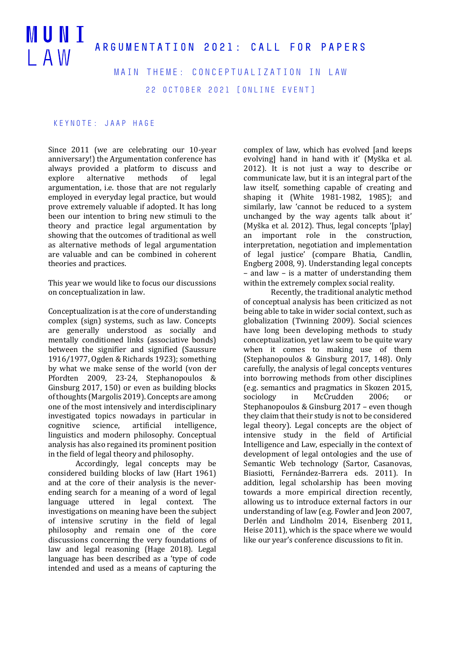## MUNI ARGUMENTATION 2021: CALL FOR PAPERS  $I$  A W

Main Theme: Conceptualization in Law

22 October 2021 [online event]

## Keynote: Jaap Hage

Since 2011 (we are celebrating our 10-year anniversary!) the Argumentation conference has always provided a platform to discuss and explore alternative methods of legal argumentation, i.e. those that are not regularly employed in everyday legal practice, but would prove extremely valuable if adopted. It has long been our intention to bring new stimuli to the theory and practice legal argumentation by showing that the outcomes of traditional as well as alternative methods of legal argumentation are valuable and can be combined in coherent theories and practices.

This year we would like to focus our discussions on conceptualization in law.

Conceptualization is at the core of understanding complex (sign) systems, such as law. Concepts are generally understood as socially and mentally conditioned links (associative bonds) between the signifier and signified (Saussure 1916/1977, Ogden & Richards 1923); something by what we make sense of the world (von der Pfordten 2009, 23-24, Stephanopoulos & Ginsburg 2017, 150) or even as building blocks of thoughts (Margolis 2019). Concepts are among one of the most intensively and interdisciplinary investigated topics nowadays in particular in cognitive science, artificial intelligence, linguistics and modern philosophy. Conceptual analysis has also regained its prominent position in the field of legal theory and philosophy.

Accordingly, legal concepts may be considered building blocks of law (Hart 1961) and at the core of their analysis is the neverending search for a meaning of a word of legal language uttered in legal context. The investigations on meaning have been the subject of intensive scrutiny in the field of legal philosophy and remain one of the core discussions concerning the very foundations of law and legal reasoning (Hage 2018). Legal language has been described as a 'type of code intended and used as a means of capturing the complex of law, which has evolved [and keeps] evolving] hand in hand with it' (Myška et al. 2012). It is not just a way to describe or communicate law, but it is an integral part of the law itself, something capable of creating and shaping it (White 1981-1982, 1985); and similarly, law 'cannot be reduced to a system unchanged by the way agents talk about it' (Myška et al. 2012). Thus, legal concepts '[play] an important role in the construction, interpretation, negotiation and implementation of legal justice' (compare Bhatia, Candlin, Engberg 2008, 9). Understanding legal concepts  $-$  and law  $-$  is a matter of understanding them within the extremely complex social reality.

Recently, the traditional analytic method of conceptual analysis has been criticized as not being able to take in wider social context, such as globalization (Twinning 2009). Social sciences have long been developing methods to study conceptualization, yet law seem to be quite wary when it comes to making use of them (Stephanopoulos & Ginsburg 2017, 148). Only carefully, the analysis of legal concepts ventures into borrowing methods from other disciplines (e.g. semantics and pragmatics in Skozen 2015, sociology in McCrudden 2006: or Stephanopoulos & Ginsburg  $2017$  – even though they claim that their study is not to be considered legal theory). Legal concepts are the object of intensive study in the field of Artificial Intelligence and Law, especially in the context of development of legal ontologies and the use of Semantic Web technology (Sartor, Casanovas, Biasiotti, Fernández-Barrera eds. 2011). In addition, legal scholarship has been moving towards a more empirical direction recently, allowing us to introduce external factors in our understanding of law (e.g. Fowler and Jeon 2007, Derlén and Lindholm 2014, Eisenberg 2011, Heise 2011), which is the space where we would like our year's conference discussions to fit in.